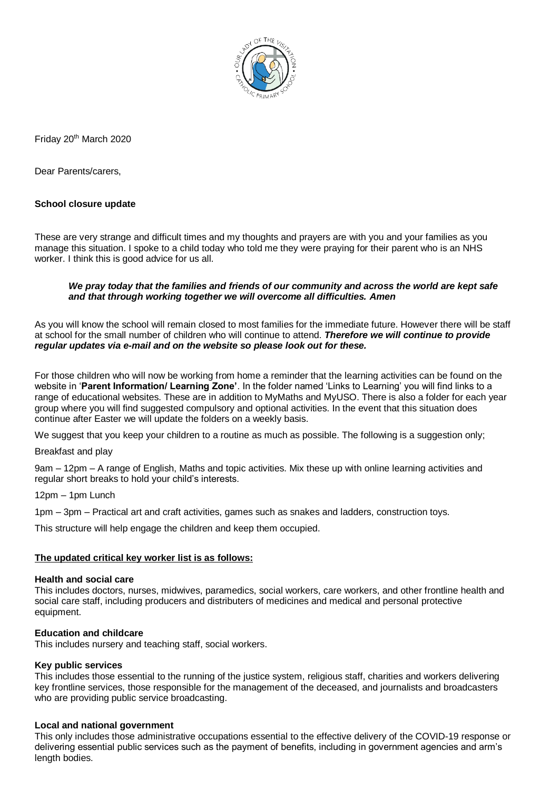

Friday 20<sup>th</sup> March 2020

Dear Parents/carers,

# **School closure update**

These are very strange and difficult times and my thoughts and prayers are with you and your families as you manage this situation. I spoke to a child today who told me they were praying for their parent who is an NHS worker. I think this is good advice for us all.

### *We pray today that the families and friends of our community and across the world are kept safe and that through working together we will overcome all difficulties. Amen*

As you will know the school will remain closed to most families for the immediate future. However there will be staff at school for the small number of children who will continue to attend. *Therefore we will continue to provide regular updates via e-mail and on the website so please look out for these.*

For those children who will now be working from home a reminder that the learning activities can be found on the website in '**Parent Information/ Learning Zone'**. In the folder named 'Links to Learning' you will find links to a range of educational websites. These are in addition to MyMaths and MyUSO. There is also a folder for each year group where you will find suggested compulsory and optional activities. In the event that this situation does continue after Easter we will update the folders on a weekly basis.

We suggest that you keep your children to a routine as much as possible. The following is a suggestion only;

Breakfast and play

9am – 12pm – A range of English, Maths and topic activities. Mix these up with online learning activities and regular short breaks to hold your child's interests.

12pm – 1pm Lunch

1pm – 3pm – Practical art and craft activities, games such as snakes and ladders, construction toys.

This structure will help engage the children and keep them occupied.

#### **The updated critical key worker list is as follows:**

#### **Health and social care**

This includes doctors, nurses, midwives, paramedics, social workers, care workers, and other frontline health and social care staff, including producers and distributers of medicines and medical and personal protective equipment.

#### **Education and childcare**

This includes nursery and teaching staff, social workers.

#### **Key public services**

This includes those essential to the running of the justice system, religious staff, charities and workers delivering key frontline services, those responsible for the management of the deceased, and journalists and broadcasters who are providing public service broadcasting.

#### **Local and national government**

This only includes those administrative occupations essential to the effective delivery of the COVID-19 response or delivering essential public services such as the payment of benefits, including in government agencies and arm's length bodies.